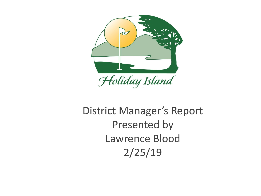

# District Manager's Report Presented by Lawrence Blood 2/25/19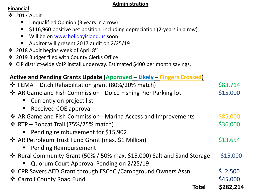#### **Administration**

# **Financial**

- ❖ 2017 Audit
	- Unqualified Opinion (3 years in a row)
	- \$116,960 positive net position, including depreciation (2-years in a row)
	- Will be on [www.holidayisland.us](http://www.holidayisland.us/) soon
	- Auditor will present 2017 audit on 2/25/19
- ❖ 2018 Audit begins week of April 8th
- ❖ 2019 Budget filed with County Clerks Office
- ❖ CIP district-wide VoIP install underway. Estimated \$400 per month savings.

| Active and Pending Grants Update (Approved - Likely - Fingers Crossed)  |           |
|-------------------------------------------------------------------------|-----------|
| <b>❖</b> FEMA – Ditch Rehabilitation grant (80%/20% match)              | \$83,714  |
| ❖ AR Game and Fish Commission - Dolce Fishing Pier Parking lot          | \$15,000  |
| • Currently on project list                                             |           |
| • Received COE approval                                                 |           |
| ❖ AR Game and Fish Commission - Marina Access and Improvements          | \$85,000  |
| ❖ RTP – Bobcat Trail (75%/25% match)                                    | \$36,000  |
| • Pending reimbursement for \$15,902                                    |           |
| ❖ AR Petroleum Trust Fund Grant (max. \$1 Million)                      | \$13,654  |
| • Pending Reimbursement                                                 |           |
| ❖ Rural Community Grant (50% / 50% max. \$15,000) Salt and Sand Storage | \$15,000  |
| Quorum Court Approval Pending on 2/25/19                                |           |
| ❖ CPR Savers AED Grant through ESCoC / Campground Owners Assn.          | \$2,500   |
| ❖ Carroll County Road Fund                                              | \$45,000  |
| Total                                                                   | \$282,214 |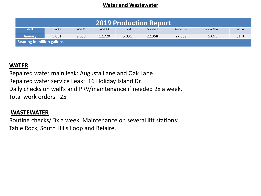#### **Water and Wastewater**

| <b>2019 Production Report</b>     |        |        |         |        |          |            |              |        |  |
|-----------------------------------|--------|--------|---------|--------|----------|------------|--------------|--------|--|
| <b>Month</b>                      | Well#1 | Well#4 | Well #5 | Island | Mainland | Production | Water Billed | % Loss |  |
| <b>January</b>                    | 5.031  | 9.638  | 12.720  | 5.031  | 22.358   | 27.389     | 5.093        | 81.%   |  |
| <b>Reading in million gallons</b> |        |        |         |        |          |            |              |        |  |

# **WATER**

Repaired water main leak: Augusta Lane and Oak Lane. Repaired water service Leak: 16 Holiday Island Dr. Daily checks on well's and PRV/maintenance if needed 2x a week. Total work orders: 25

#### **WASTEWATER**

Routine checks/ 3x a week. Maintenance on several lift stations: Table Rock, South Hills Loop and Belaire.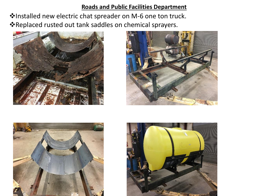#### **Roads and Public Facilities Department**

❖Installed new electric chat spreader on M-6 one ton truck. ❖Replaced rusted out tank saddles on chemical sprayers.







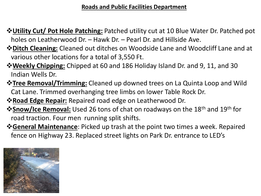# **Roads and Public Facilities Department**

- ❖**Utility Cut/ Pot Hole Patching:** Patched utility cut at 10 Blue Water Dr. Patched pot holes on Leatherwood Dr. – Hawk Dr. – Pearl Dr. and Hillside Ave.
- ❖**Ditch Cleaning:** Cleaned out ditches on Woodside Lane and Woodcliff Lane and at various other locations for a total of 3,550 Ft.
- ❖**Weekly Chipping:** Chipped at 60 and 186 Holiday Island Dr. and 9, 11, and 30 Indian Wells Dr.
- ❖**Tree Removal/Trimming:** Cleaned up downed trees on La Quinta Loop and Wild Cat Lane. Trimmed overhanging tree limbs on lower Table Rock Dr.
- ❖**Road Edge Repair:** Repaired road edge on Leatherwood Dr.
- **<sup>❖</sup>Snow/Ice Removal:** Used 26 tons of chat on roadways on the 18<sup>th</sup> and 19<sup>th</sup> for road traction. Four men running split shifts.
- ❖**General Maintenance**: Picked up trash at the point two times a week. Repaired fence on Highway 23. Replaced street lights on Park Dr. entrance to LED's

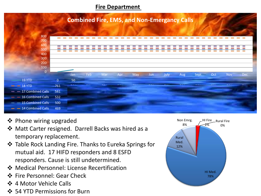#### **Fire Department**



- ❖ Phone wiring upgraded
- ❖ Matt Carter resigned. Darrell Backs was hired as a temporary replacement.
- ❖ Table Rock Landing Fire. Thanks to Eureka Springs for mutual aid. 17 HIFD responders and 8 ESFD responders. Cause is still undetermined.
- ❖ Medical Personnel: License Recertification
- ❖ Fire Personnel: Gear Check
- ❖ 4 Motor Vehicle Calls
- ❖ 54 YTD Permissions for Burn

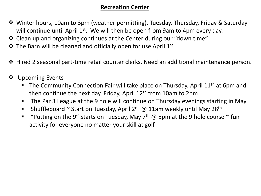# **Recreation Center**

- ❖ Winter hours, 10am to 3pm (weather permitting), Tuesday, Thursday, Friday & Saturday will continue until April  $1^{st}$ . We will then be open from 9am to 4pm every day.
- ❖ Clean up and organizing continues at the Center during our "down time"
- **❖** The Barn will be cleaned and officially open for use April 1<sup>st</sup>.
- ❖ Hired 2 seasonal part-time retail counter clerks. Need an additional maintenance person.
- ❖ Upcoming Events
	- The Community Connection Fair will take place on Thursday, April 11<sup>th</sup> at 6pm and then continue the next day, Friday, April  $12<sup>th</sup>$  from 10am to 2pm.
	- The Par 3 League at the 9 hole will continue on Thursday evenings starting in May
	- **E** Shuffleboard  $\sim$  Start on Tuesday, April 2<sup>nd</sup> @ 11am weekly until May 28<sup>th</sup>
	- **■** "Putting on the 9" Starts on Tuesday, May  $7<sup>th</sup>$  @ 5pm at the 9 hole course  $\sim$  fun activity for everyone no matter your skill at golf.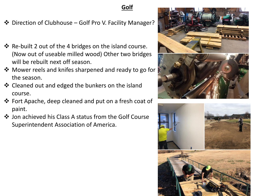# **Golf**

- ❖ Direction of Clubhouse Golf Pro V. Facility Manager?
- ❖ Re-built 2 out of the 4 bridges on the island course. (Now out of useable milled wood) Other two bridges will be rebuilt next off season.
- ❖ Mower reels and knifes sharpened and ready to go for the season.
- ❖ Cleaned out and edged the bunkers on the island course.
- ❖ Fort Apache, deep cleaned and put on a fresh coat of paint.
- ❖ Jon achieved his Class A status from the Golf Course Superintendent Association of America.





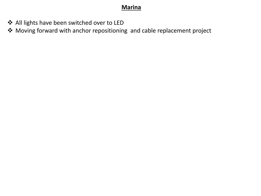# **Marina**

- ❖ All lights have been switched over to LED
- ❖ Moving forward with anchor repositioning and cable replacement project